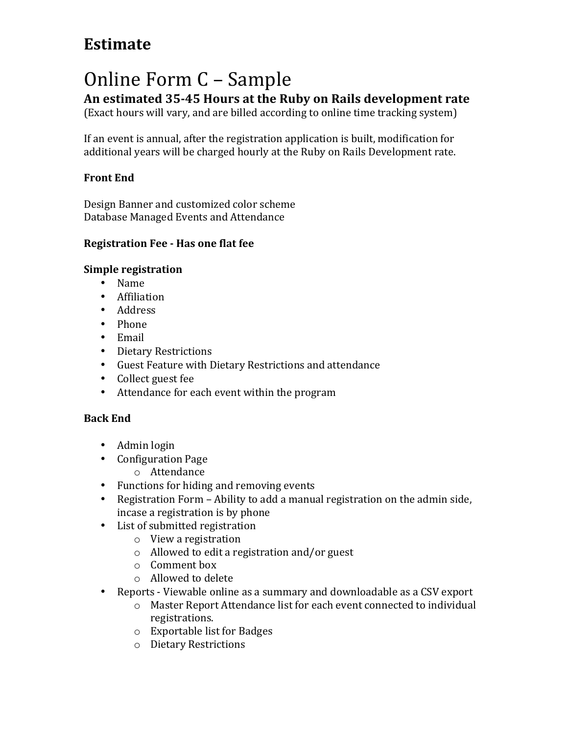## **Estimate**

# Online Form C - Sample

**An estimated 35-45 Hours at the Ruby on Rails development rate**

(Exact hours will vary, and are billed according to online time tracking system)

If an event is annual, after the registration application is built, modification for additional years will be charged hourly at the Ruby on Rails Development rate.

### **Front End**

Design Banner and customized color scheme Database Managed Events and Attendance

#### **Registration Fee - Has one flat fee**

#### **Simple registration**

- Name
- Affiliation
- Address
- Phone
- Email
- Dietary Restrictions
- Guest Feature with Dietary Restrictions and attendance
- Collect guest fee
- Attendance for each event within the program

#### **Back End**

- Admin login
- Configuration Page
	- o Attendance
- Functions for hiding and removing events
- Registration Form Ability to add a manual registration on the admin side, incase a registration is by phone
- List of submitted registration
	- $\circ$  View a registration
	- $\circ$  Allowed to edit a registration and/or guest
	- $\circ$  Comment box
	- $\circ$  Allowed to delete
- Reports Viewable online as a summary and downloadable as a CSV export
	- o Master Report Attendance list for each event connected to individual registrations.
	- $\circ$  Exportable list for Badges
	- o Dietary Restrictions